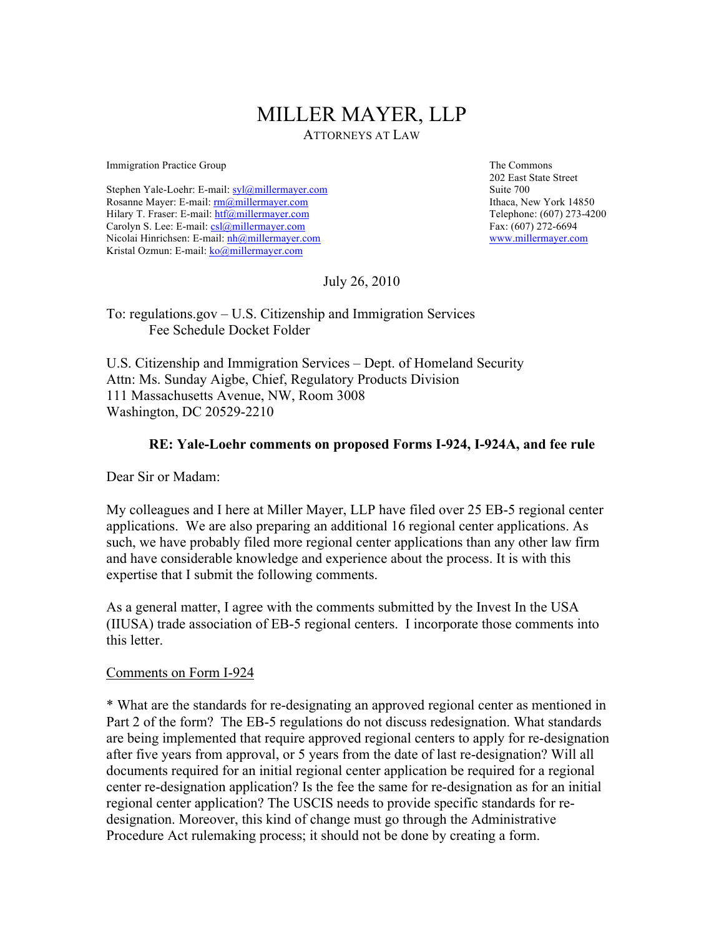# MILLER MAYER, LLP

ATTORNEYS AT LAW

Immigration Practice Group The Commons

Stephen Yale-Loehr: E-mail: syl@millermayer.com Suite 700 Rosanne Mayer: E-mail: rm@millermayer.com Ithaca, New York 14850 Hilary T. Fraser: E-mail: htf@millermayer.com Carolyn S. Lee: E-mail: csl@millermayer.com Fax: (607) 272-6694 Nicolai Hinrichsen: E-mail: nh@millermayer.com www.millermayer.com www.millermayer.com Kristal Ozmun: E-mail: ko@millermayer.com

202 East State Street

July 26, 2010

## To: regulations.gov – U.S. Citizenship and Immigration Services Fee Schedule Docket Folder

U.S. Citizenship and Immigration Services – Dept. of Homeland Security Attn: Ms. Sunday Aigbe, Chief, Regulatory Products Division 111 Massachusetts Avenue, NW, Room 3008 Washington, DC 20529-2210

## **RE: Yale-Loehr comments on proposed Forms I-924, I-924A, and fee rule**

Dear Sir or Madam:

My colleagues and I here at Miller Mayer, LLP have filed over 25 EB-5 regional center applications. We are also preparing an additional 16 regional center applications. As such, we have probably filed more regional center applications than any other law firm and have considerable knowledge and experience about the process. It is with this expertise that I submit the following comments.

As a general matter, I agree with the comments submitted by the Invest In the USA (IIUSA) trade association of EB-5 regional centers. I incorporate those comments into this letter.

### Comments on Form I-924

\* What are the standards for re-designating an approved regional center as mentioned in Part 2 of the form? The EB-5 regulations do not discuss redesignation. What standards are being implemented that require approved regional centers to apply for re-designation after five years from approval, or 5 years from the date of last re-designation? Will all documents required for an initial regional center application be required for a regional center re-designation application? Is the fee the same for re-designation as for an initial regional center application? The USCIS needs to provide specific standards for redesignation. Moreover, this kind of change must go through the Administrative Procedure Act rulemaking process; it should not be done by creating a form.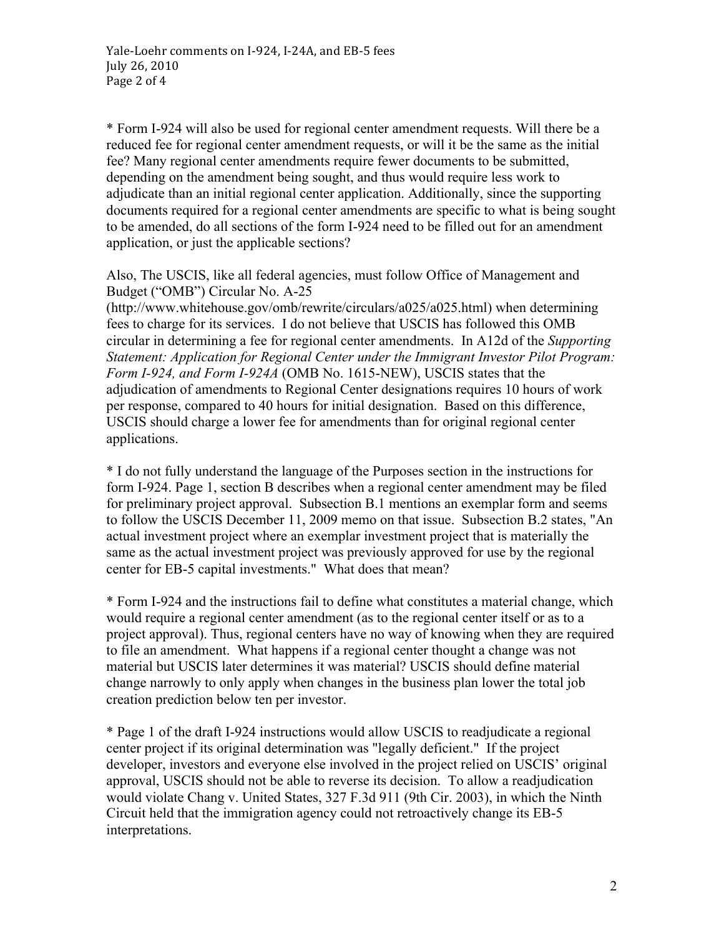\* Form I-924 will also be used for regional center amendment requests. Will there be a reduced fee for regional center amendment requests, or will it be the same as the initial fee? Many regional center amendments require fewer documents to be submitted, depending on the amendment being sought, and thus would require less work to adjudicate than an initial regional center application. Additionally, since the supporting documents required for a regional center amendments are specific to what is being sought to be amended, do all sections of the form I-924 need to be filled out for an amendment application, or just the applicable sections?

Also, The USCIS, like all federal agencies, must follow Office of Management and Budget ("OMB") Circular No. A-25

(http://www.whitehouse.gov/omb/rewrite/circulars/a025/a025.html) when determining fees to charge for its services. I do not believe that USCIS has followed this OMB circular in determining a fee for regional center amendments. In A12d of the *Supporting Statement: Application for Regional Center under the Immigrant Investor Pilot Program: Form I-924, and Form I-924A* (OMB No. 1615-NEW), USCIS states that the adjudication of amendments to Regional Center designations requires 10 hours of work per response, compared to 40 hours for initial designation. Based on this difference, USCIS should charge a lower fee for amendments than for original regional center applications.

\* I do not fully understand the language of the Purposes section in the instructions for form I-924. Page 1, section B describes when a regional center amendment may be filed for preliminary project approval. Subsection B.1 mentions an exemplar form and seems to follow the USCIS December 11, 2009 memo on that issue. Subsection B.2 states, "An actual investment project where an exemplar investment project that is materially the same as the actual investment project was previously approved for use by the regional center for EB-5 capital investments." What does that mean?

\* Form I-924 and the instructions fail to define what constitutes a material change, which would require a regional center amendment (as to the regional center itself or as to a project approval). Thus, regional centers have no way of knowing when they are required to file an amendment. What happens if a regional center thought a change was not material but USCIS later determines it was material? USCIS should define material change narrowly to only apply when changes in the business plan lower the total job creation prediction below ten per investor.

\* Page 1 of the draft I-924 instructions would allow USCIS to readjudicate a regional center project if its original determination was "legally deficient." If the project developer, investors and everyone else involved in the project relied on USCIS' original approval, USCIS should not be able to reverse its decision. To allow a readjudication would violate Chang v. United States, 327 F.3d 911 (9th Cir. 2003), in which the Ninth Circuit held that the immigration agency could not retroactively change its EB-5 interpretations.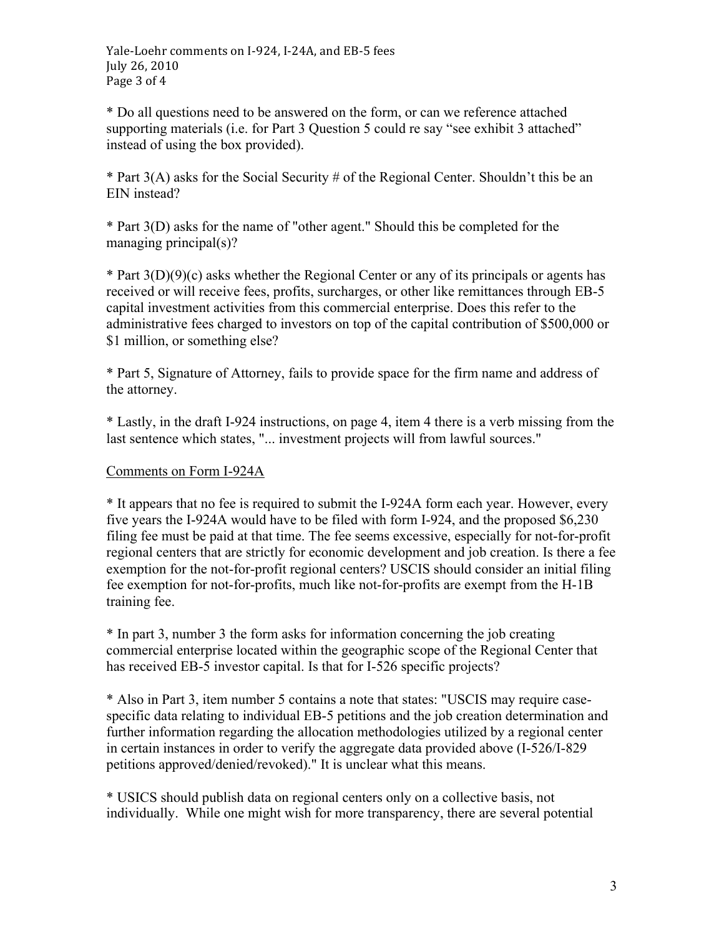\* Do all questions need to be answered on the form, or can we reference attached supporting materials (i.e. for Part 3 Question 5 could re say "see exhibit 3 attached" instead of using the box provided).

\* Part  $3(A)$  asks for the Social Security # of the Regional Center. Shouldn't this be an EIN instead?

\* Part 3(D) asks for the name of "other agent." Should this be completed for the managing principal(s)?

\* Part 3(D)(9)(c) asks whether the Regional Center or any of its principals or agents has received or will receive fees, profits, surcharges, or other like remittances through EB-5 capital investment activities from this commercial enterprise. Does this refer to the administrative fees charged to investors on top of the capital contribution of \$500,000 or \$1 million, or something else?

\* Part 5, Signature of Attorney, fails to provide space for the firm name and address of the attorney.

\* Lastly, in the draft I-924 instructions, on page 4, item 4 there is a verb missing from the last sentence which states, "... investment projects will from lawful sources."

## Comments on Form I-924A

\* It appears that no fee is required to submit the I-924A form each year. However, every five years the I-924A would have to be filed with form I-924, and the proposed \$6,230 filing fee must be paid at that time. The fee seems excessive, especially for not-for-profit regional centers that are strictly for economic development and job creation. Is there a fee exemption for the not-for-profit regional centers? USCIS should consider an initial filing fee exemption for not-for-profits, much like not-for-profits are exempt from the H-1B training fee.

\* In part 3, number 3 the form asks for information concerning the job creating commercial enterprise located within the geographic scope of the Regional Center that has received EB-5 investor capital. Is that for I-526 specific projects?

\* Also in Part 3, item number 5 contains a note that states: "USCIS may require casespecific data relating to individual EB-5 petitions and the job creation determination and further information regarding the allocation methodologies utilized by a regional center in certain instances in order to verify the aggregate data provided above (I-526/I-829 petitions approved/denied/revoked)." It is unclear what this means.

\* USICS should publish data on regional centers only on a collective basis, not individually. While one might wish for more transparency, there are several potential